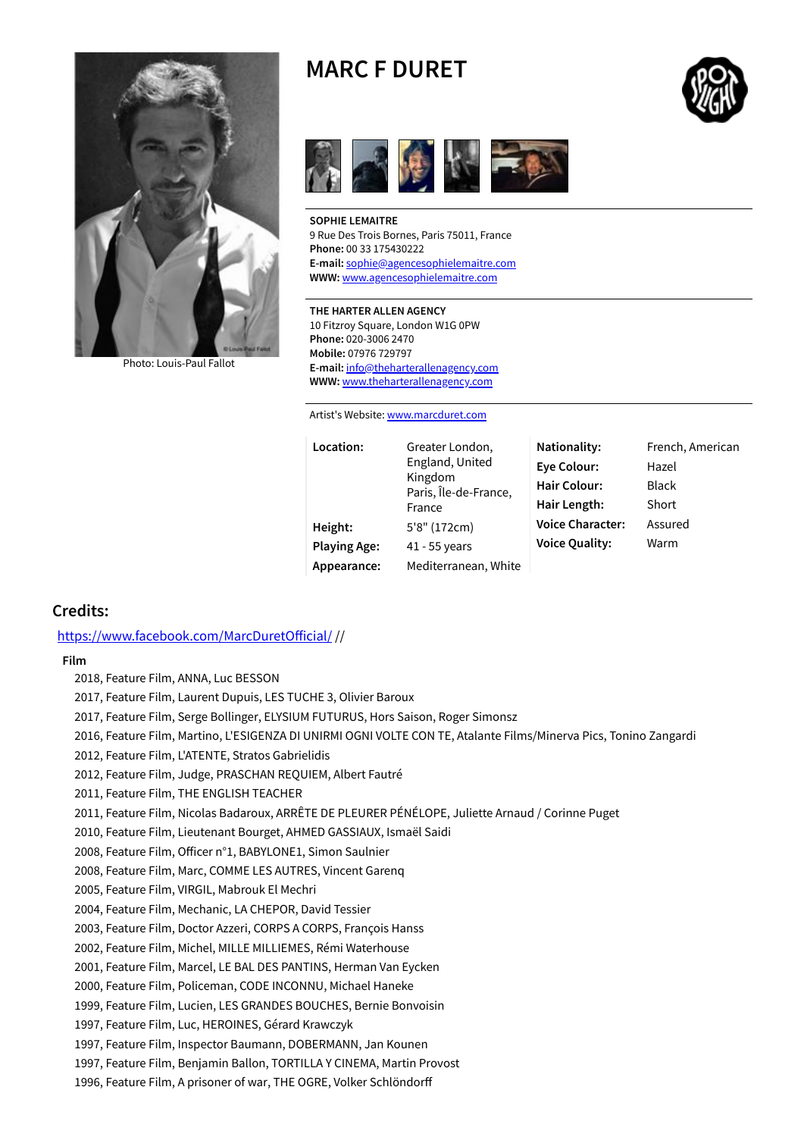

Photo: [Louis-Paul](https://www.spotlight.com/photo/~540x540/ffffff/loose/1/M222779.0103.jpg) Fallot

# **MARC F DURET**



**SOPHIE LEMAITRE** 9 Rue Des Trois Bornes, Paris 75011, France **Phone:** 00 33 175430222 **E-mail:** [sophie@agencesophielemaitre.com](mailto:sophie@agencesophielemaitre.com) **WWW:** [www.agencesophielemaitre.com](http://www.agencesophielemaitre.com/)

#### **THE HARTER ALLEN AGENCY**

10 Fitzroy Square, London W1G 0PW **Phone:** 020-3006 2470 **Mobile:** 07976 729797 **E-mail:** [info@theharterallenagency.com](mailto:info@theharterallenagency.com) **WWW:** [www.theharterallenagency.com](http://www.theharterallenagency.com/)

Artist's Website: [www.marcduret.com](http://www.marcduret.com/)

| Location:           | Greater London,<br>England, United<br>Kingdom<br>Paris, Île-de-France,<br>France | Nationality:<br>Eye Colour:<br><b>Hair Colour:</b><br>Hair Length: | French, American<br>Hazel<br><b>Black</b><br>Short |
|---------------------|----------------------------------------------------------------------------------|--------------------------------------------------------------------|----------------------------------------------------|
| Height:             | 5'8" (172cm)                                                                     | <b>Voice Character:</b>                                            | Assured                                            |
| <b>Playing Age:</b> | 41 - 55 years                                                                    | <b>Voice Quality:</b>                                              | Warm                                               |
| Appearance:         | Mediterranean, White                                                             |                                                                    |                                                    |

## **Credits:**

https://www.facebook.com/MarcDuretOfficial/ //

**Film**

2018, Feature Film, ANNA, Luc BESSON

2017, Feature Film, Laurent Dupuis, LES TUCHE 3, Olivier Baroux

2017, Feature Film, Serge Bollinger, ELYSIUM FUTURUS, Hors Saison, Roger Simonsz

2016, Feature Film, Martino, L'ESIGENZA DI UNIRMI OGNI VOLTE CON TE, Atalante Films/Minerva Pics, Tonino Zangardi

2012, Feature Film, L'ATENTE, Stratos Gabrielidis

2012, Feature Film, Judge, PRASCHAN REQUIEM, Albert Fautré

2011, Feature Film, THE ENGLISH TEACHER

2011, Feature Film, Nicolas Badaroux, ARRÊTE DE PLEURER PÉNÉLOPE, Juliette Arnaud / Corinne Puget

2010, Feature Film, Lieutenant Bourget, AHMED GASSIAUX, Ismaël Saidi

2008, Feature Film, Officer n°1, BABYLONE1, Simon Saulnier

2008, Feature Film, Marc, COMME LES AUTRES, Vincent Garenq

2005, Feature Film, VIRGIL, Mabrouk El Mechri

2004, Feature Film, Mechanic, LA CHEPOR, David Tessier

2003, Feature Film, Doctor Azzeri, CORPS A CORPS, François Hanss

2002, Feature Film, Michel, MILLE MILLIEMES, Rémi Waterhouse

2001, Feature Film, Marcel, LE BAL DES PANTINS, Herman Van Eycken

2000, Feature Film, Policeman, CODE INCONNU, Michael Haneke

1999, Feature Film, Lucien, LES GRANDES BOUCHES, Bernie Bonvoisin

1997, Feature Film, Luc, HEROINES, Gérard Krawczyk

1997, Feature Film, Inspector Baumann, DOBERMANN, Jan Kounen

1997, Feature Film, Benjamin Ballon, TORTILLA Y CINEMA, Martin Provost

1996, Feature Film, A prisoner of war, THE OGRE, Volker Schlöndor

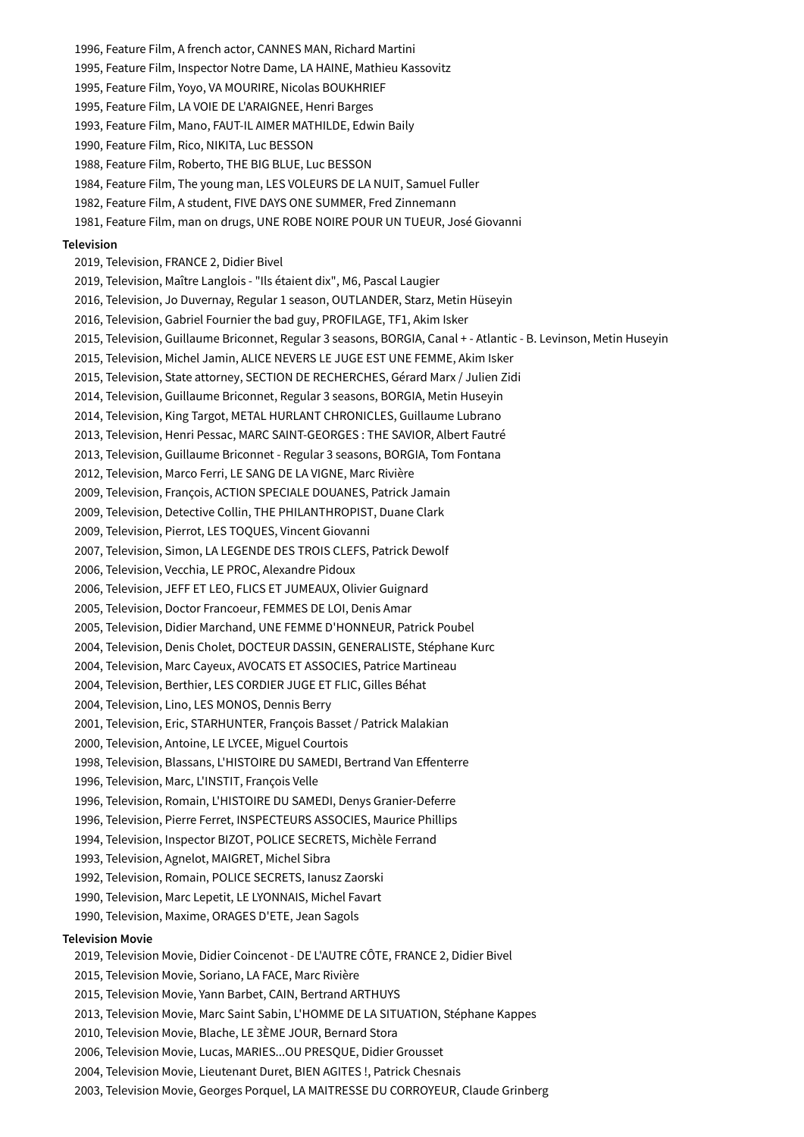1995, Feature Film, Inspector Notre Dame, LA HAINE, Mathieu Kassovitz 1995, Feature Film, Yoyo, VA MOURIRE, Nicolas BOUKHRIEF 1995, Feature Film, LA VOIE DE L'ARAIGNEE, Henri Barges 1993, Feature Film, Mano, FAUT-IL AIMER MATHILDE, Edwin Baily 1990, Feature Film, Rico, NIKITA, Luc BESSON 1988, Feature Film, Roberto, THE BIG BLUE, Luc BESSON 1984, Feature Film, The young man, LES VOLEURS DE LA NUIT, Samuel Fuller 1982, Feature Film, A student, FIVE DAYS ONE SUMMER, Fred Zinnemann 1981, Feature Film, man on drugs, UNE ROBE NOIRE POUR UN TUEUR, José Giovanni **Television** 2019, Television, FRANCE 2, Didier Bivel 2019, Television, Maître Langlois - "Ils étaient dix", M6, Pascal Laugier 2016, Television, Jo Duvernay, Regular 1 season, OUTLANDER, Starz, Metin Hüseyin 2016, Television, Gabriel Fournier the bad guy, PROFILAGE, TF1, Akim Isker 2015, Television, Guillaume Briconnet, Regular 3 seasons, BORGIA, Canal + - Atlantic - B. Levinson, Metin Huseyin 2015, Television, Michel Jamin, ALICE NEVERS LE JUGE EST UNE FEMME, Akim Isker 2015, Television, State attorney, SECTION DE RECHERCHES, Gérard Marx / Julien Zidi 2014, Television, Guillaume Briconnet, Regular 3 seasons, BORGIA, Metin Huseyin 2014, Television, King Targot, METAL HURLANT CHRONICLES, Guillaume Lubrano 2013, Television, Henri Pessac, MARC SAINT-GEORGES : THE SAVIOR, Albert Fautré 2013, Television, Guillaume Briconnet - Regular 3 seasons, BORGIA, Tom Fontana 2012, Television, Marco Ferri, LE SANG DE LA VIGNE, Marc Rivière 2009, Television, François, ACTION SPECIALE DOUANES, Patrick Jamain 2009, Television, Detective Collin, THE PHILANTHROPIST, Duane Clark 2009, Television, Pierrot, LES TOQUES, Vincent Giovanni 2007, Television, Simon, LA LEGENDE DES TROIS CLEFS, Patrick Dewolf 2006, Television, Vecchia, LE PROC, Alexandre Pidoux 2006, Television, JEFF ET LEO, FLICS ET JUMEAUX, Olivier Guignard 2005, Television, Doctor Francoeur, FEMMES DE LOI, Denis Amar 2005, Television, Didier Marchand, UNE FEMME D'HONNEUR, Patrick Poubel 2004, Television, Denis Cholet, DOCTEUR DASSIN, GENERALISTE, Stéphane Kurc 2004, Television, Marc Cayeux, AVOCATS ET ASSOCIES, Patrice Martineau 2004, Television, Berthier, LES CORDIER JUGE ET FLIC, Gilles Béhat 2004, Television, Lino, LES MONOS, Dennis Berry 2001, Television, Eric, STARHUNTER, François Basset / Patrick Malakian 2000, Television, Antoine, LE LYCEE, Miguel Courtois 1998, Television, Blassans, L'HISTOIRE DU SAMEDI, Bertrand Van Effenterre 1996, Television, Marc, L'INSTIT, François Velle 1996, Television, Romain, L'HISTOIRE DU SAMEDI, Denys Granier-Deferre 1996, Television, Pierre Ferret, INSPECTEURS ASSOCIES, Maurice Phillips 1994, Television, Inspector BIZOT, POLICE SECRETS, Michèle Ferrand 1993, Television, Agnelot, MAIGRET, Michel Sibra 1992, Television, Romain, POLICE SECRETS, Ianusz Zaorski 1990, Television, Marc Lepetit, LE LYONNAIS, Michel Favart 1990, Television, Maxime, ORAGES D'ETE, Jean Sagols **Television Movie** 2019, Television Movie, Didier Coincenot - DE L'AUTRE CÔTE, FRANCE 2, Didier Bivel 2015, Television Movie, Soriano, LA FACE, Marc Rivière 2015, Television Movie, Yann Barbet, CAIN, Bertrand ARTHUYS 2013, Television Movie, Marc Saint Sabin, L'HOMME DE LA SITUATION, Stéphane Kappes 2010, Television Movie, Blache, LE 3ÈME JOUR, Bernard Stora 2006, Television Movie, Lucas, MARIES...OU PRESQUE, Didier Grousset 2004, Television Movie, Lieutenant Duret, BIEN AGITES !, Patrick Chesnais 2003, Television Movie, Georges Porquel, LA MAITRESSE DU CORROYEUR, Claude Grinberg

1996, Feature Film, A french actor, CANNES MAN, Richard Martini